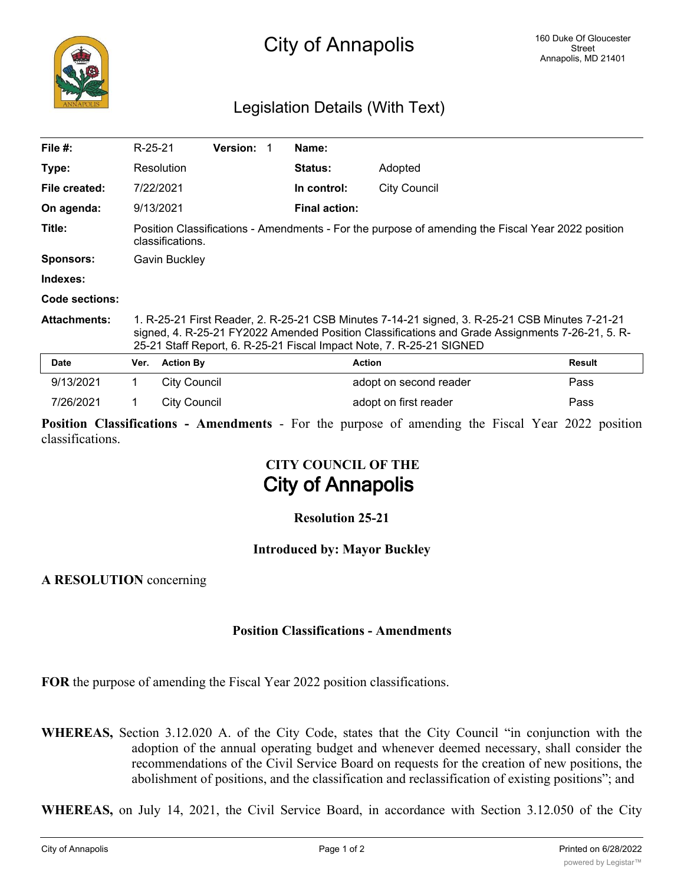## Legislation Details (With Text)

| File $#$ :          | R-25-21                                                                                                                                                                                                                                                                   |                     | <b>Version:</b> |  | Name:                |                        |               |
|---------------------|---------------------------------------------------------------------------------------------------------------------------------------------------------------------------------------------------------------------------------------------------------------------------|---------------------|-----------------|--|----------------------|------------------------|---------------|
| Type:               |                                                                                                                                                                                                                                                                           | Resolution          |                 |  | <b>Status:</b>       | Adopted                |               |
| File created:       |                                                                                                                                                                                                                                                                           | 7/22/2021           |                 |  | In control:          | <b>City Council</b>    |               |
| On agenda:          |                                                                                                                                                                                                                                                                           | 9/13/2021           |                 |  | <b>Final action:</b> |                        |               |
| Title:              | Position Classifications - Amendments - For the purpose of amending the Fiscal Year 2022 position<br>classifications.                                                                                                                                                     |                     |                 |  |                      |                        |               |
| <b>Sponsors:</b>    | Gavin Buckley                                                                                                                                                                                                                                                             |                     |                 |  |                      |                        |               |
| Indexes:            |                                                                                                                                                                                                                                                                           |                     |                 |  |                      |                        |               |
| Code sections:      |                                                                                                                                                                                                                                                                           |                     |                 |  |                      |                        |               |
| <b>Attachments:</b> | 1. R-25-21 First Reader, 2. R-25-21 CSB Minutes 7-14-21 signed, 3. R-25-21 CSB Minutes 7-21-21<br>signed, 4. R-25-21 FY2022 Amended Position Classifications and Grade Assignments 7-26-21, 5. R-<br>25-21 Staff Report, 6. R-25-21 Fiscal Impact Note, 7. R-25-21 SIGNED |                     |                 |  |                      |                        |               |
| <b>Date</b>         | Ver.                                                                                                                                                                                                                                                                      | <b>Action By</b>    |                 |  |                      | <b>Action</b>          | <b>Result</b> |
| 9/13/2021           | 1.                                                                                                                                                                                                                                                                        | <b>City Council</b> |                 |  |                      | adopt on second reader | Pass          |
| 7/26/2021           | 1                                                                                                                                                                                                                                                                         | <b>City Council</b> |                 |  |                      | adopt on first reader  | Pass          |

**Position Classifications - Amendments** - For the purpose of amending the Fiscal Year 2022 position classifications.

# **CITY COUNCIL OF THE City of Annapolis**

### **Resolution 25-21**

#### **Introduced by: Mayor Buckley**

**A RESOLUTION** concerning

#### **Position Classifications - Amendments**

**FOR** the purpose of amending the Fiscal Year 2022 position classifications.

**WHEREAS,** Section 3.12.020 A. of the City Code, states that the City Council "in conjunction with the adoption of the annual operating budget and whenever deemed necessary, shall consider the recommendations of the Civil Service Board on requests for the creation of new positions, the abolishment of positions, and the classification and reclassification of existing positions"; and

**WHEREAS,** on July 14, 2021, the Civil Service Board, in accordance with Section 3.12.050 of the City